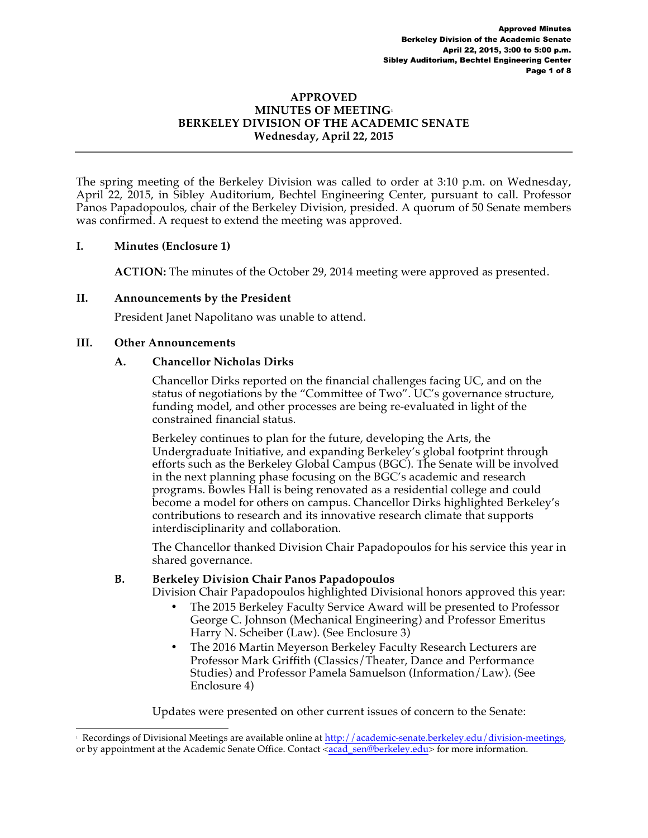#### **APPROVED MINUTES OF MEETING1 BERKELEY DIVISION OF THE ACADEMIC SENATE Wednesday, April 22, 2015**

The spring meeting of the Berkeley Division was called to order at 3:10 p.m. on Wednesday, April 22, 2015, in Sibley Auditorium, Bechtel Engineering Center, pursuant to call. Professor Panos Papadopoulos, chair of the Berkeley Division, presided. A quorum of 50 Senate members was confirmed. A request to extend the meeting was approved.

### **I. Minutes (Enclosure 1)**

**ACTION:** The minutes of the October 29, 2014 meeting were approved as presented.

### **II. Announcements by the President**

President Janet Napolitano was unable to attend.

### **III. Other Announcements**

### **A. Chancellor Nicholas Dirks**

Chancellor Dirks reported on the financial challenges facing UC, and on the status of negotiations by the "Committee of Two". UC's governance structure, funding model, and other processes are being re-evaluated in light of the constrained financial status.

Berkeley continues to plan for the future, developing the Arts, the Undergraduate Initiative, and expanding Berkeley's global footprint through efforts such as the Berkeley Global Campus (BGC). The Senate will be involved in the next planning phase focusing on the BGC's academic and research programs. Bowles Hall is being renovated as a residential college and could become a model for others on campus. Chancellor Dirks highlighted Berkeley's contributions to research and its innovative research climate that supports interdisciplinarity and collaboration.

The Chancellor thanked Division Chair Papadopoulos for his service this year in shared governance.

### **B. Berkeley Division Chair Panos Papadopoulos**

Division Chair Papadopoulos highlighted Divisional honors approved this year:

- The 2015 Berkeley Faculty Service Award will be presented to Professor George C. Johnson (Mechanical Engineering) and Professor Emeritus Harry N. Scheiber (Law). (See Enclosure 3)
- The 2016 Martin Meyerson Berkeley Faculty Research Lecturers are Professor Mark Griffith (Classics/Theater, Dance and Performance Studies) and Professor Pamela Samuelson (Information/Law). (See Enclosure 4)

Updates were presented on other current issues of concern to the Senate:

 $\frac{1}{1}$ Recordings of Divisional Meetings are available online at http://academic-senate.berkeley.edu/division-meetings, or by appointment at the Academic Senate Office. Contact <acad\_sen@berkeley.edu> for more information.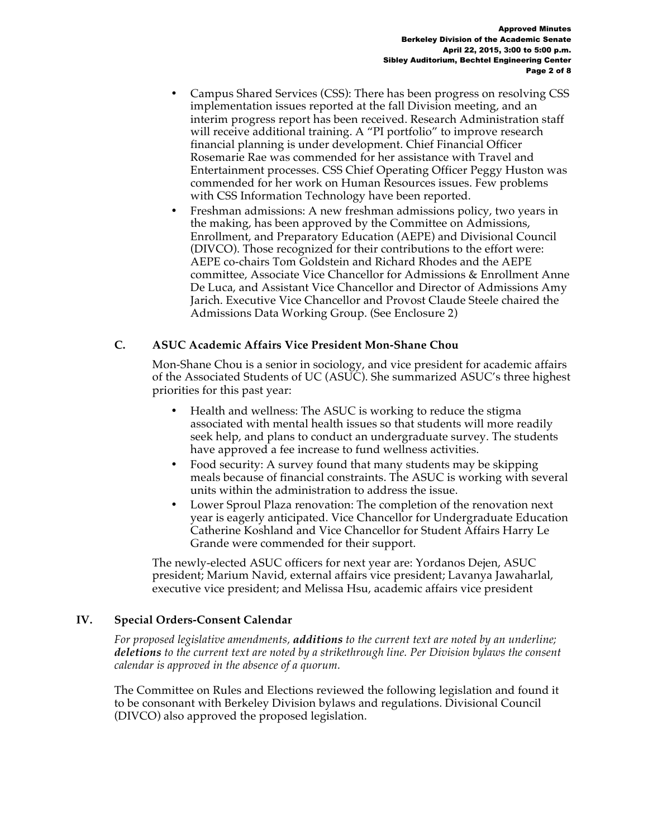- Campus Shared Services (CSS): There has been progress on resolving CSS implementation issues reported at the fall Division meeting, and an interim progress report has been received. Research Administration staff will receive additional training. A "PI portfolio" to improve research financial planning is under development. Chief Financial Officer Rosemarie Rae was commended for her assistance with Travel and Entertainment processes. CSS Chief Operating Officer Peggy Huston was commended for her work on Human Resources issues. Few problems with CSS Information Technology have been reported.
- Freshman admissions: A new freshman admissions policy, two years in the making, has been approved by the Committee on Admissions, Enrollment, and Preparatory Education (AEPE) and Divisional Council (DIVCO). Those recognized for their contributions to the effort were: AEPE co-chairs Tom Goldstein and Richard Rhodes and the AEPE committee, Associate Vice Chancellor for Admissions & Enrollment Anne De Luca, and Assistant Vice Chancellor and Director of Admissions Amy Jarich. Executive Vice Chancellor and Provost Claude Steele chaired the Admissions Data Working Group. (See Enclosure 2)

### **C. ASUC Academic Affairs Vice President Mon-Shane Chou**

Mon-Shane Chou is a senior in sociology, and vice president for academic affairs of the Associated Students of UC (ASUC). She summarized ASUC's three highest priorities for this past year:

- Health and wellness: The ASUC is working to reduce the stigma associated with mental health issues so that students will more readily seek help, and plans to conduct an undergraduate survey. The students have approved a fee increase to fund wellness activities.
- Food security: A survey found that many students may be skipping meals because of financial constraints. The ASUC is working with several units within the administration to address the issue.
- Lower Sproul Plaza renovation: The completion of the renovation next year is eagerly anticipated. Vice Chancellor for Undergraduate Education Catherine Koshland and Vice Chancellor for Student Affairs Harry Le Grande were commended for their support.

The newly-elected ASUC officers for next year are: Yordanos Dejen, ASUC president; Marium Navid, external affairs vice president; Lavanya Jawaharlal, executive vice president; and Melissa Hsu, academic affairs vice president

### **IV. Special Orders-Consent Calendar**

*For proposed legislative amendments, additions to the current text are noted by an underline; deletions to the current text are noted by a strikethrough line. Per Division bylaws the consent calendar is approved in the absence of a quorum.*

The Committee on Rules and Elections reviewed the following legislation and found it to be consonant with Berkeley Division bylaws and regulations. Divisional Council (DIVCO) also approved the proposed legislation.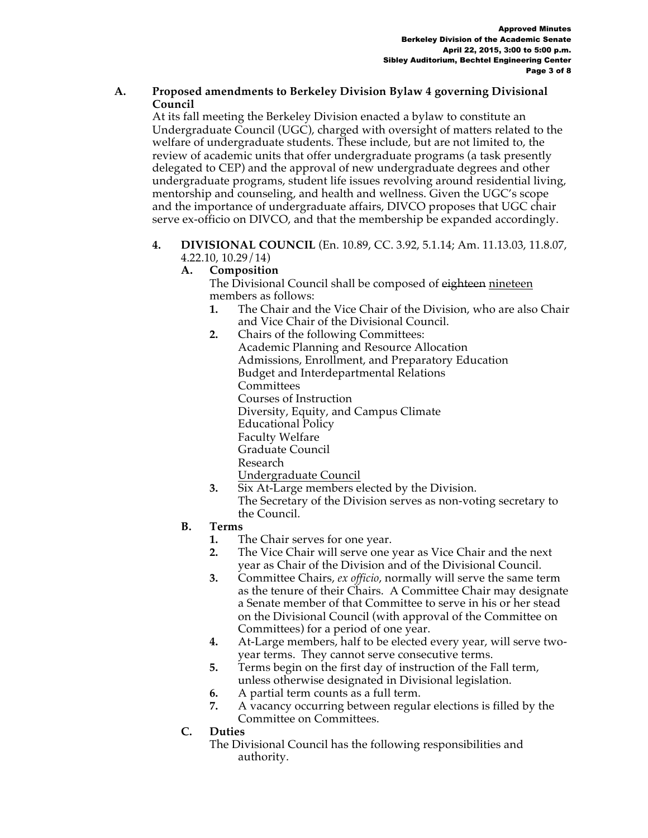### **A. Proposed amendments to Berkeley Division Bylaw 4 governing Divisional Council**

At its fall meeting the Berkeley Division enacted a bylaw to constitute an Undergraduate Council (UGC), charged with oversight of matters related to the welfare of undergraduate students. These include, but are not limited to, the review of academic units that offer undergraduate programs (a task presently delegated to CEP) and the approval of new undergraduate degrees and other undergraduate programs, student life issues revolving around residential living, mentorship and counseling, and health and wellness. Given the UGC's scope and the importance of undergraduate affairs, DIVCO proposes that UGC chair serve ex-officio on DIVCO, and that the membership be expanded accordingly.

**4. DIVISIONAL COUNCIL** (En. 10.89, CC. 3.92, 5.1.14; Am. 11.13.03, 11.8.07, 4.22.10, 10.29/14)

# **A. Composition**

The Divisional Council shall be composed of eighteen nineteen members as follows:

- **1.** The Chair and the Vice Chair of the Division, who are also Chair and Vice Chair of the Divisional Council.
- **2.** Chairs of the following Committees: Academic Planning and Resource Allocation Admissions, Enrollment, and Preparatory Education Budget and Interdepartmental Relations Committees Courses of Instruction Diversity, Equity, and Campus Climate Educational Policy Faculty Welfare Graduate Council Research Undergraduate Council
- **3.** Six At-Large members elected by the Division. The Secretary of the Division serves as non-voting secretary to the Council.
- **B. Terms**
	- **1.** The Chair serves for one year.
	- **2.** The Vice Chair will serve one year as Vice Chair and the next year as Chair of the Division and of the Divisional Council.
	- **3.** Committee Chairs, *ex officio*, normally will serve the same term as the tenure of their Chairs. A Committee Chair may designate a Senate member of that Committee to serve in his or her stead on the Divisional Council (with approval of the Committee on Committees) for a period of one year.
	- **4.** At-Large members, half to be elected every year, will serve twoyear terms. They cannot serve consecutive terms.
	- **5.** Terms begin on the first day of instruction of the Fall term, unless otherwise designated in Divisional legislation.
	- **6.** A partial term counts as a full term.
	- **7.** A vacancy occurring between regular elections is filled by the Committee on Committees.
- **C. Duties**
	- The Divisional Council has the following responsibilities and authority.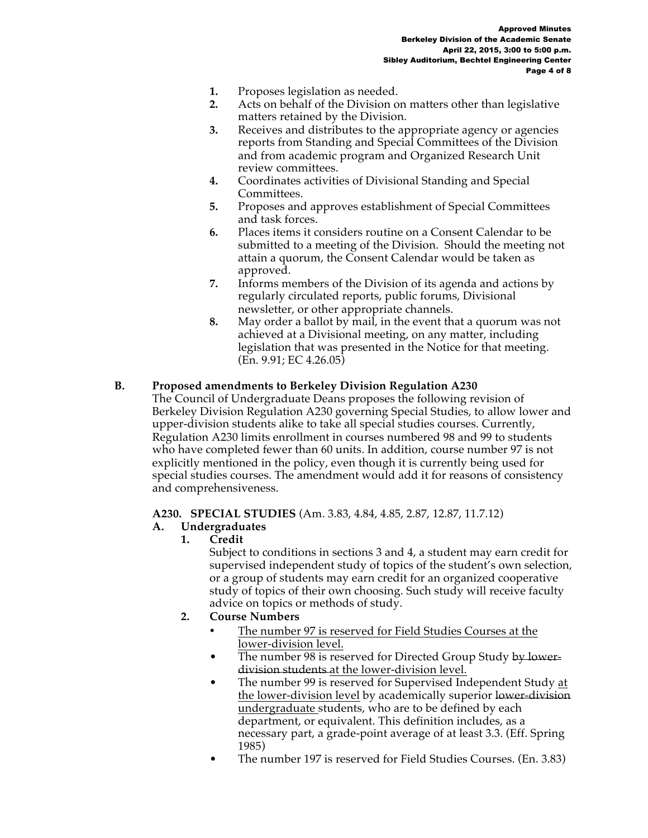- **1.** Proposes legislation as needed.
- **2.** Acts on behalf of the Division on matters other than legislative matters retained by the Division.
- **3.** Receives and distributes to the appropriate agency or agencies reports from Standing and Special Committees of the Division and from academic program and Organized Research Unit review committees.
- **4.** Coordinates activities of Divisional Standing and Special Committees.
- **5.** Proposes and approves establishment of Special Committees and task forces.
- **6.** Places items it considers routine on a Consent Calendar to be submitted to a meeting of the Division. Should the meeting not attain a quorum, the Consent Calendar would be taken as approved.
- **7.** Informs members of the Division of its agenda and actions by regularly circulated reports, public forums, Divisional newsletter, or other appropriate channels.
- **8.** May order a ballot by mail, in the event that a quorum was not achieved at a Divisional meeting, on any matter, including legislation that was presented in the Notice for that meeting. (En. 9.91; EC 4.26.05)

# **B. Proposed amendments to Berkeley Division Regulation A230**

The Council of Undergraduate Deans proposes the following revision of Berkeley Division Regulation A230 governing Special Studies, to allow lower and upper-division students alike to take all special studies courses. Currently, Regulation A230 limits enrollment in courses numbered 98 and 99 to students who have completed fewer than 60 units. In addition, course number 97 is not explicitly mentioned in the policy, even though it is currently being used for special studies courses. The amendment would add it for reasons of consistency and comprehensiveness.

# **A230. SPECIAL STUDIES** (Am. 3.83, 4.84, 4.85, 2.87, 12.87, 11.7.12)

### **A. Undergraduates**

**1. Credit**

Subject to conditions in sections 3 and 4, a student may earn credit for supervised independent study of topics of the student's own selection, or a group of students may earn credit for an organized cooperative study of topics of their own choosing. Such study will receive faculty advice on topics or methods of study.

- **2. Course Numbers**
	- The number 97 is reserved for Field Studies Courses at the lower-division level.
	- The number 98 is reserved for Directed Group Study by lowerdivision students at the lower-division level.
	- The number 99 is reserved for Supervised Independent Study at the lower-division level by academically superior lower-division undergraduate students, who are to be defined by each department, or equivalent. This definition includes, as a necessary part, a grade-point average of at least 3.3. (Eff. Spring 1985)
	- The number 197 is reserved for Field Studies Courses. (En. 3.83)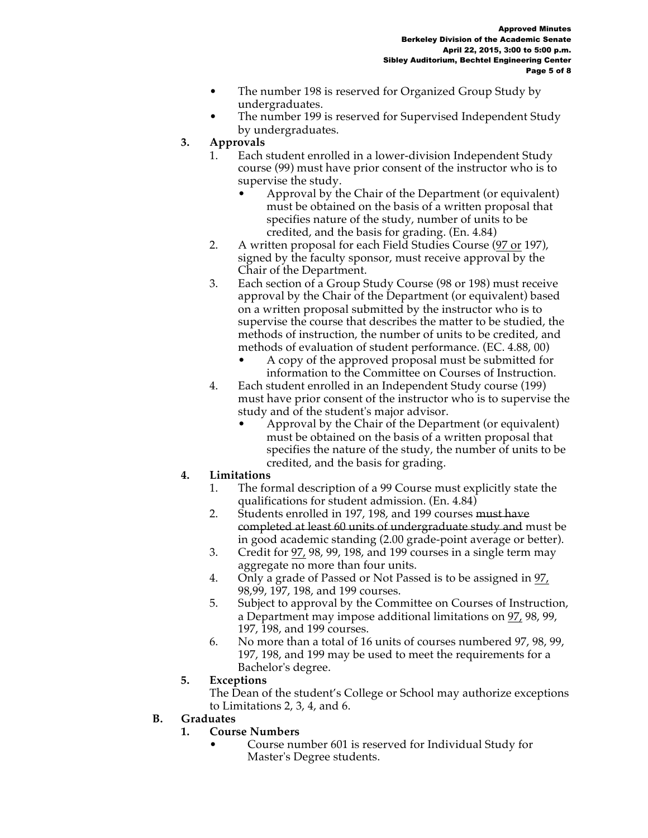- The number 198 is reserved for Organized Group Study by undergraduates.
- The number 199 is reserved for Supervised Independent Study by undergraduates.
- **3. Approvals**
	- 1. Each student enrolled in a lower-division Independent Study course (99) must have prior consent of the instructor who is to supervise the study.
		- Approval by the Chair of the Department (or equivalent) must be obtained on the basis of a written proposal that specifies nature of the study, number of units to be credited, and the basis for grading. (En. 4.84)
	- 2. A written proposal for each Field Studies Course (97 or 197), signed by the faculty sponsor, must receive approval by the Chair of the Department.
	- 3. Each section of a Group Study Course (98 or 198) must receive approval by the Chair of the Department (or equivalent) based on a written proposal submitted by the instructor who is to supervise the course that describes the matter to be studied, the methods of instruction, the number of units to be credited, and methods of evaluation of student performance. (EC. 4.88, 00)
		- A copy of the approved proposal must be submitted for information to the Committee on Courses of Instruction.
	- 4. Each student enrolled in an Independent Study course (199) must have prior consent of the instructor who is to supervise the study and of the student's major advisor.
		- Approval by the Chair of the Department (or equivalent) must be obtained on the basis of a written proposal that specifies the nature of the study, the number of units to be credited, and the basis for grading.

# **4. Limitations**

- 1. The formal description of a 99 Course must explicitly state the qualifications for student admission. (En. 4.84)
- 2. Students enrolled in 197, 198, and 199 courses must have completed at least 60 units of undergraduate study and must be in good academic standing (2.00 grade-point average or better).
- 3. Credit for 97, 98, 99, 198, and 199 courses in a single term may aggregate no more than four units.
- 4. Only a grade of Passed or Not Passed is to be assigned in 97, 98,99, 197, 198, and 199 courses.
- 5. Subject to approval by the Committee on Courses of Instruction, a Department may impose additional limitations on 97, 98, 99, 197, 198, and 199 courses.
- 6. No more than a total of 16 units of courses numbered 97, 98, 99, 197, 198, and 199 may be used to meet the requirements for a Bachelor's degree.
- **5. Exceptions**
	- The Dean of the student's College or School may authorize exceptions to Limitations 2, 3, 4, and 6.

# **B. Graduates**

# **1. Course Numbers**

• Course number 601 is reserved for Individual Study for Master's Degree students.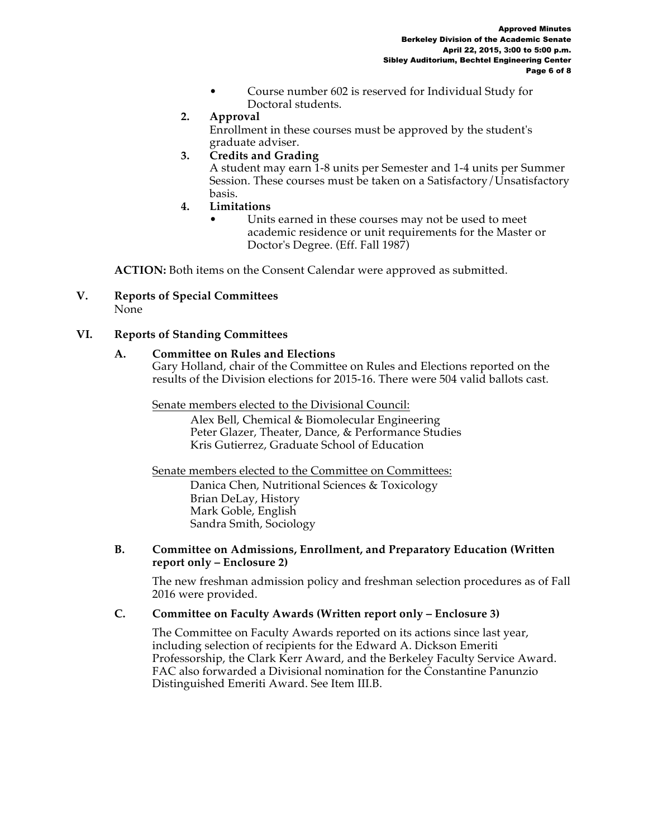- Course number 602 is reserved for Individual Study for Doctoral students.
- **2. Approval**

Enrollment in these courses must be approved by the student's graduate adviser.

**3. Credits and Grading**

A student may earn 1-8 units per Semester and 1-4 units per Summer Session. These courses must be taken on a Satisfactory/Unsatisfactory basis.

- **4. Limitations**
	- Units earned in these courses may not be used to meet academic residence or unit requirements for the Master or Doctor's Degree. (Eff. Fall 1987)

**ACTION:** Both items on the Consent Calendar were approved as submitted.

**V. Reports of Special Committees**  None

### **VI. Reports of Standing Committees**

#### **A. Committee on Rules and Elections**

Gary Holland, chair of the Committee on Rules and Elections reported on the results of the Division elections for 2015-16. There were 504 valid ballots cast.

Senate members elected to the Divisional Council:

Alex Bell, Chemical & Biomolecular Engineering Peter Glazer, Theater, Dance, & Performance Studies Kris Gutierrez, Graduate School of Education

Senate members elected to the Committee on Committees:

Danica Chen, Nutritional Sciences & Toxicology Brian DeLay, History Mark Goble, English Sandra Smith, Sociology

#### **B. Committee on Admissions, Enrollment, and Preparatory Education (Written report only – Enclosure 2)**

The new freshman admission policy and freshman selection procedures as of Fall 2016 were provided.

### **C. Committee on Faculty Awards (Written report only – Enclosure 3)**

The Committee on Faculty Awards reported on its actions since last year, including selection of recipients for the Edward A. Dickson Emeriti Professorship, the Clark Kerr Award, and the Berkeley Faculty Service Award. FAC also forwarded a Divisional nomination for the Constantine Panunzio Distinguished Emeriti Award. See Item III.B.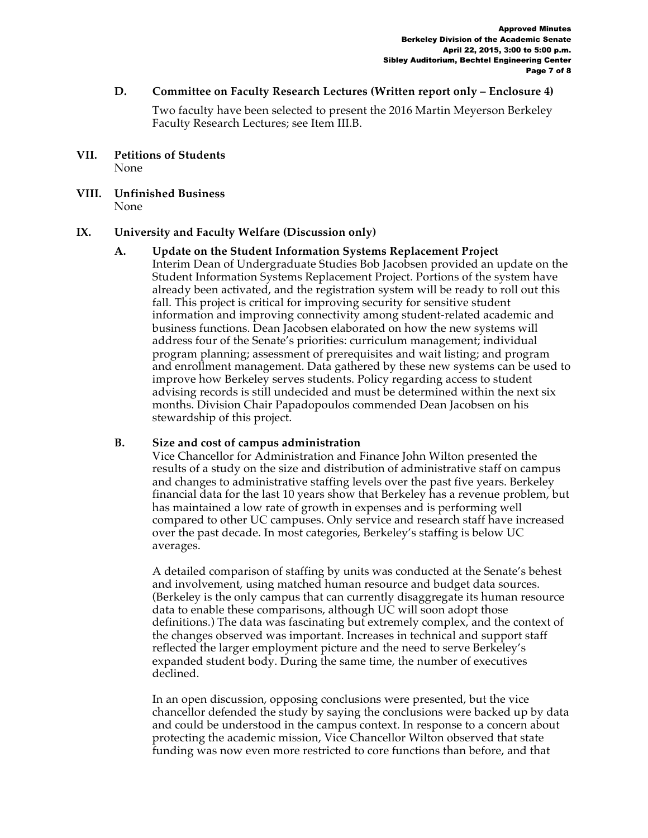#### **D. Committee on Faculty Research Lectures (Written report only – Enclosure 4)**

Two faculty have been selected to present the 2016 Martin Meyerson Berkeley Faculty Research Lectures; see Item III.B.

- **VII. Petitions of Students**  None
- **VIII. Unfinished Business**  None

### **IX. University and Faculty Welfare (Discussion only)**

**A. Update on the Student Information Systems Replacement Project** Interim Dean of Undergraduate Studies Bob Jacobsen provided an update on the Student Information Systems Replacement Project. Portions of the system have already been activated, and the registration system will be ready to roll out this fall. This project is critical for improving security for sensitive student information and improving connectivity among student-related academic and business functions. Dean Jacobsen elaborated on how the new systems will address four of the Senate's priorities: curriculum management; individual program planning; assessment of prerequisites and wait listing; and program and enrollment management. Data gathered by these new systems can be used to improve how Berkeley serves students. Policy regarding access to student advising records is still undecided and must be determined within the next six months. Division Chair Papadopoulos commended Dean Jacobsen on his stewardship of this project.

#### **B. Size and cost of campus administration**

Vice Chancellor for Administration and Finance John Wilton presented the results of a study on the size and distribution of administrative staff on campus and changes to administrative staffing levels over the past five years. Berkeley financial data for the last 10 years show that Berkeley has a revenue problem, but has maintained a low rate of growth in expenses and is performing well compared to other UC campuses. Only service and research staff have increased over the past decade. In most categories, Berkeley's staffing is below UC averages.

A detailed comparison of staffing by units was conducted at the Senate's behest and involvement, using matched human resource and budget data sources. (Berkeley is the only campus that can currently disaggregate its human resource data to enable these comparisons, although UC will soon adopt those definitions.) The data was fascinating but extremely complex, and the context of the changes observed was important. Increases in technical and support staff reflected the larger employment picture and the need to serve Berkeley's expanded student body. During the same time, the number of executives declined.

In an open discussion, opposing conclusions were presented, but the vice chancellor defended the study by saying the conclusions were backed up by data and could be understood in the campus context. In response to a concern about protecting the academic mission, Vice Chancellor Wilton observed that state funding was now even more restricted to core functions than before, and that